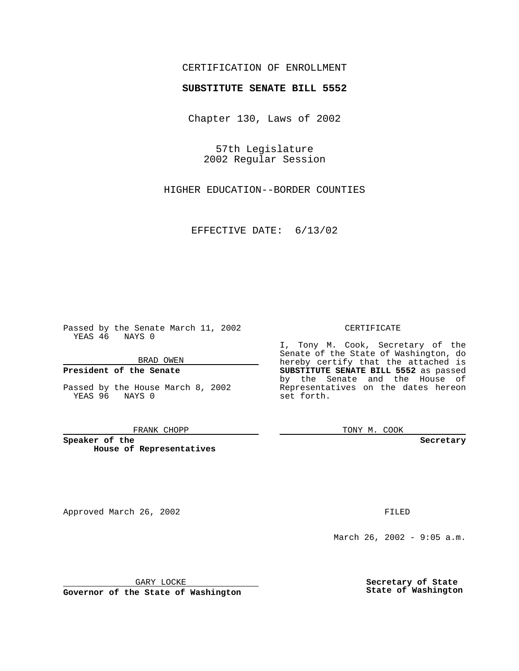# CERTIFICATION OF ENROLLMENT

# **SUBSTITUTE SENATE BILL 5552**

Chapter 130, Laws of 2002

57th Legislature 2002 Regular Session

HIGHER EDUCATION--BORDER COUNTIES

EFFECTIVE DATE: 6/13/02

Passed by the Senate March 11, 2002 YEAS 46 NAYS 0

BRAD OWEN

## **President of the Senate**

Passed by the House March 8, 2002 YEAS 96 NAYS 0

#### FRANK CHOPP

**Speaker of the House of Representatives**

Approved March 26, 2002 **FILED** 

#### CERTIFICATE

I, Tony M. Cook, Secretary of the Senate of the State of Washington, do hereby certify that the attached is **SUBSTITUTE SENATE BILL 5552** as passed by the Senate and the House of Representatives on the dates hereon set forth.

TONY M. COOK

**Secretary**

March 26, 2002 - 9:05 a.m.

GARY LOCKE

**Governor of the State of Washington**

**Secretary of State State of Washington**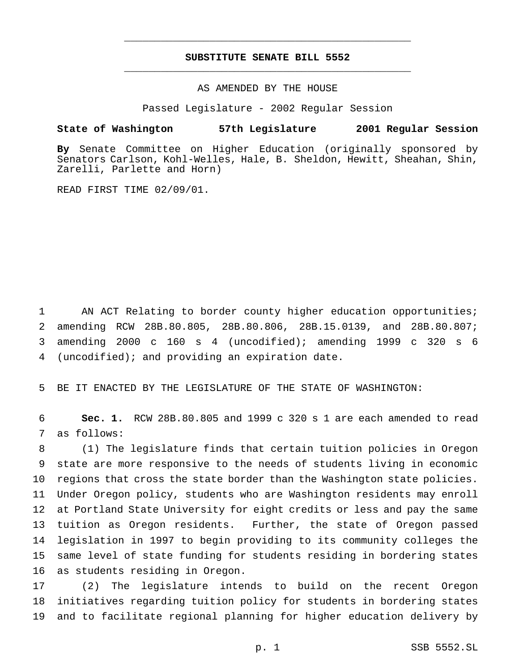# **SUBSTITUTE SENATE BILL 5552** \_\_\_\_\_\_\_\_\_\_\_\_\_\_\_\_\_\_\_\_\_\_\_\_\_\_\_\_\_\_\_\_\_\_\_\_\_\_\_\_\_\_\_\_\_\_\_

\_\_\_\_\_\_\_\_\_\_\_\_\_\_\_\_\_\_\_\_\_\_\_\_\_\_\_\_\_\_\_\_\_\_\_\_\_\_\_\_\_\_\_\_\_\_\_

### AS AMENDED BY THE HOUSE

Passed Legislature - 2002 Regular Session

#### **State of Washington 57th Legislature 2001 Regular Session**

**By** Senate Committee on Higher Education (originally sponsored by Senators Carlson, Kohl-Welles, Hale, B. Sheldon, Hewitt, Sheahan, Shin, Zarelli, Parlette and Horn)

READ FIRST TIME 02/09/01.

1 AN ACT Relating to border county higher education opportunities; amending RCW 28B.80.805, 28B.80.806, 28B.15.0139, and 28B.80.807; amending 2000 c 160 s 4 (uncodified); amending 1999 c 320 s 6 (uncodified); and providing an expiration date.

5 BE IT ENACTED BY THE LEGISLATURE OF THE STATE OF WASHINGTON:

6 **Sec. 1.** RCW 28B.80.805 and 1999 c 320 s 1 are each amended to read 7 as follows:

 (1) The legislature finds that certain tuition policies in Oregon state are more responsive to the needs of students living in economic regions that cross the state border than the Washington state policies. Under Oregon policy, students who are Washington residents may enroll at Portland State University for eight credits or less and pay the same tuition as Oregon residents. Further, the state of Oregon passed legislation in 1997 to begin providing to its community colleges the same level of state funding for students residing in bordering states as students residing in Oregon.

17 (2) The legislature intends to build on the recent Oregon 18 initiatives regarding tuition policy for students in bordering states 19 and to facilitate regional planning for higher education delivery by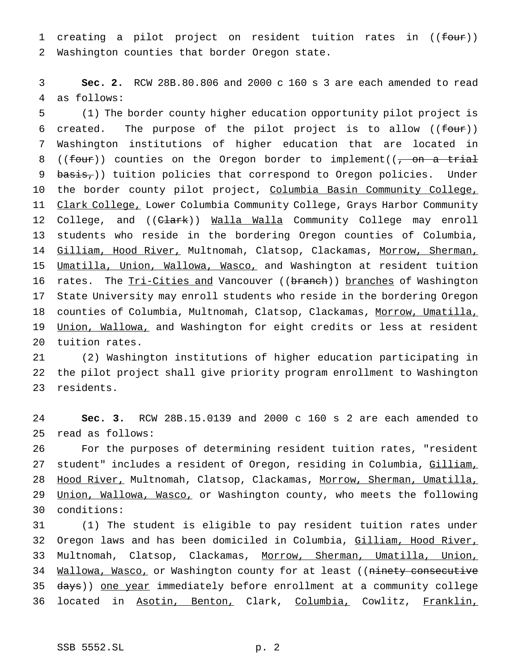1 creating a pilot project on resident tuition rates in ((four)) 2 Washington counties that border Oregon state.

3 **Sec. 2.** RCW 28B.80.806 and 2000 c 160 s 3 are each amended to read 4 as follows:

5 (1) The border county higher education opportunity pilot project is 6 created. The purpose of the pilot project is to allow  $($  (four)) 7 Washington institutions of higher education that are located in 8 ((four)) counties on the Oregon border to implement( $\sqrt{2}$ , on a trial 9 basis,)) tuition policies that correspond to Oregon policies. Under 10 the border county pilot project, Columbia Basin Community College, 11 Clark College, Lower Columbia Community College, Grays Harbor Community 12 College, and ((Clark)) Walla Walla Community College may enroll 13 students who reside in the bordering Oregon counties of Columbia, 14 Gilliam, Hood River, Multnomah, Clatsop, Clackamas, Morrow, Sherman, 15 Umatilla, Union, Wallowa, Wasco, and Washington at resident tuition 16 rates. The Tri-Cities and Vancouver ((branch)) branches of Washington 17 State University may enroll students who reside in the bordering Oregon 18 counties of Columbia, Multnomah, Clatsop, Clackamas, Morrow, Umatilla, 19 Union, Wallowa, and Washington for eight credits or less at resident 20 tuition rates.

21 (2) Washington institutions of higher education participating in 22 the pilot project shall give priority program enrollment to Washington 23 residents.

24 **Sec. 3.** RCW 28B.15.0139 and 2000 c 160 s 2 are each amended to 25 read as follows:

26 For the purposes of determining resident tuition rates, "resident 27 student" includes a resident of Oregon, residing in Columbia, Gilliam, 28 Hood River, Multnomah, Clatsop, Clackamas, Morrow, Sherman, Umatilla, 29 Union, Wallowa, Wasco, or Washington county, who meets the following 30 conditions:

31 (1) The student is eligible to pay resident tuition rates under 32 Oregon laws and has been domiciled in Columbia, Gilliam, Hood River, 33 Multnomah, Clatsop, Clackamas, Morrow, Sherman, Umatilla, Union, 34 Wallowa, Wasco, or Washington county for at least ((ninety consecutive 35 days)) one year immediately before enrollment at a community college 36 located in Asotin, Benton, Clark, Columbia, Cowlitz, Franklin,